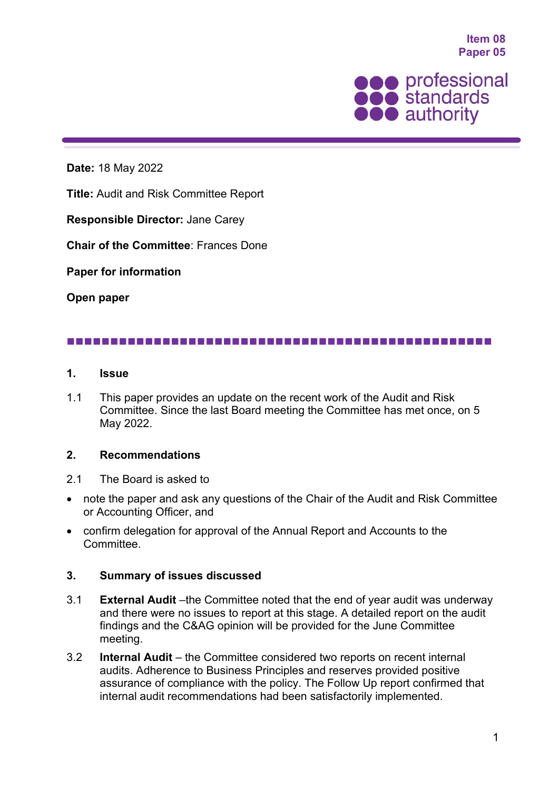**Item 08 Paper 05**



**Date:** 18 May 2022

**Title:** Audit and Risk Committee Report

**Responsible Director:** Jane Carey

**Chair of the Committee**: Frances Done

**Paper for information**

**Open paper**

## 

## **1. Issue**

1.1 This paper provides an update on the recent work of the Audit and Risk Committee. Since the last Board meeting the Committee has met once, on 5 May 2022.

## **2. Recommendations**

- 2.1 The Board is asked to
- note the paper and ask any questions of the Chair of the Audit and Risk Committee or Accounting Officer, and
- confirm delegation for approval of the Annual Report and Accounts to the Committee.

## **3. Summary of issues discussed**

- 3.1 **External Audit** –the Committee noted that the end of year audit was underway and there were no issues to report at this stage. A detailed report on the audit findings and the C&AG opinion will be provided for the June Committee meeting.
- 3.2 **Internal Audit**  the Committee considered two reports on recent internal audits. Adherence to Business Principles and reserves provided positive assurance of compliance with the policy. The Follow Up report confirmed that internal audit recommendations had been satisfactorily implemented.